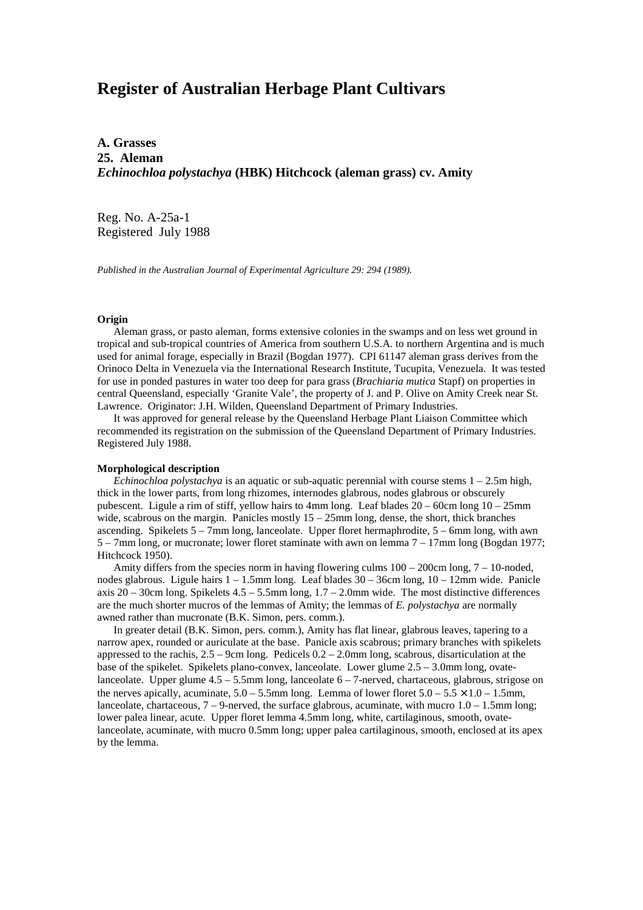# **Register of Australian Herbage Plant Cultivars**

**A. Grasses 25. Aleman** *Echinochloa polystachya* **(HBK) Hitchcock (aleman grass) cv. Amity**

Reg. No. A-25a-1 Registered July 1988

*Published in the Australian Journal of Experimental Agriculture 29: 294 (1989).*

#### **Origin**

Aleman grass, or pasto aleman, forms extensive colonies in the swamps and on less wet ground in tropical and sub-tropical countries of America from southern U.S.A. to northern Argentina and is much used for animal forage, especially in Brazil (Bogdan 1977). CPI 61147 aleman grass derives from the Orinoco Delta in Venezuela via the International Research Institute, Tucupita, Venezuela. It was tested for use in ponded pastures in water too deep for para grass (*Brachiaria mutica* Stapf) on properties in central Queensland, especially 'Granite Vale', the property of J. and P. Olive on Amity Creek near St. Lawrence. Originator: J.H. Wilden, Queensland Department of Primary Industries.

 It was approved for general release by the Queensland Herbage Plant Liaison Committee which recommended its registration on the submission of the Queensland Department of Primary Industries. Registered July 1988.

## **Morphological description**

 *Echinochloa polystachya* is an aquatic or sub-aquatic perennial with course stems 1 – 2.5m high, thick in the lower parts, from long rhizomes, internodes glabrous, nodes glabrous or obscurely pubescent. Ligule a rim of stiff, yellow hairs to 4mm long. Leaf blades 20 – 60cm long 10 – 25mm wide, scabrous on the margin. Panicles mostly  $15 - 25$ mm long, dense, the short, thick branches ascending. Spikelets 5 – 7mm long, lanceolate. Upper floret hermaphrodite, 5 – 6mm long, with awn 5 – 7mm long, or mucronate; lower floret staminate with awn on lemma 7 – 17mm long (Bogdan 1977; Hitchcock 1950).

Amity differs from the species norm in having flowering culms  $100 - 200$ cm long,  $7 - 10$ -noded, nodes glabrous. Ligule hairs 1 – 1.5mm long. Leaf blades 30 – 36cm long, 10 – 12mm wide. Panicle axis 20 – 30cm long. Spikelets 4.5 – 5.5mm long, 1.7 – 2.0mm wide. The most distinctive differences are the much shorter mucros of the lemmas of Amity; the lemmas of *E. polystachya* are normally awned rather than mucronate (B.K. Simon, pers. comm.).

 In greater detail (B.K. Simon, pers. comm.), Amity has flat linear, glabrous leaves, tapering to a narrow apex, rounded or auriculate at the base. Panicle axis scabrous; primary branches with spikelets appressed to the rachis,  $2.5 - 9$ cm long. Pedicels  $0.2 - 2.0$ mm long, scabrous, disarticulation at the base of the spikelet. Spikelets plano-convex, lanceolate. Lower glume 2.5 – 3.0mm long, ovatelanceolate. Upper glume  $4.5 - 5.5$ mm long, lanceolate  $6 - 7$ -nerved, chartaceous, glabrous, strigose on the nerves apically, acuminate,  $5.0 - 5.5$ mm long. Lemma of lower floret  $5.0 - 5.5 \times 1.0 - 1.5$ mm, lanceolate, chartaceous,  $7 - 9$ -nerved, the surface glabrous, acuminate, with mucro  $1.0 - 1.5$ mm long; lower palea linear, acute. Upper floret lemma 4.5mm long, white, cartilaginous, smooth, ovatelanceolate, acuminate, with mucro 0.5mm long; upper palea cartilaginous, smooth, enclosed at its apex by the lemma.